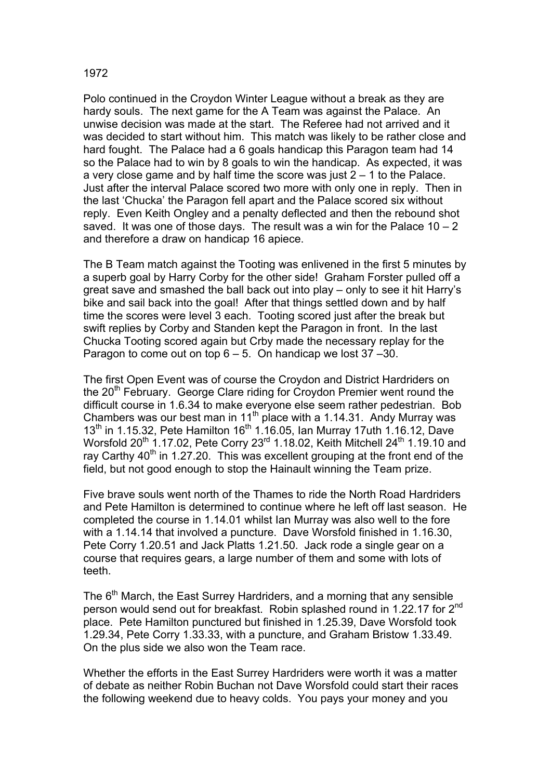## 1972

Polo continued in the Croydon Winter League without a break as they are hardy souls. The next game for the A Team was against the Palace. An unwise decision was made at the start. The Referee had not arrived and it was decided to start without him. This match was likely to be rather close and hard fought. The Palace had a 6 goals handicap this Paragon team had 14 so the Palace had to win by 8 goals to win the handicap. As expected, it was a very close game and by half time the score was just  $2 - 1$  to the Palace. Just after the interval Palace scored two more with only one in reply. Then in the last 'Chucka' the Paragon fell apart and the Palace scored six without reply. Even Keith Ongley and a penalty deflected and then the rebound shot saved. It was one of those days. The result was a win for the Palace  $10 - 2$ and therefore a draw on handicap 16 apiece.

The B Team match against the Tooting was enlivened in the first 5 minutes by a superb goal by Harry Corby for the other side! Graham Forster pulled off a great save and smashed the ball back out into play – only to see it hit Harry's bike and sail back into the goal! After that things settled down and by half time the scores were level 3 each. Tooting scored just after the break but swift replies by Corby and Standen kept the Paragon in front. In the last Chucka Tooting scored again but Crby made the necessary replay for the Paragon to come out on top  $6 - 5$ . On handicap we lost  $37 - 30$ .

The first Open Event was of course the Croydon and District Hardriders on the 20<sup>th</sup> February. George Clare riding for Croydon Premier went round the difficult course in 1.6.34 to make everyone else seem rather pedestrian. Bob Chambers was our best man in 11<sup>th</sup> place with a 1.14.31. Andy Murray was  $13<sup>th</sup>$  in 1.15.32, Pete Hamilton 16<sup>th</sup> 1.16.05, Ian Murray 17uth 1.16.12, Dave Worsfold 20<sup>th</sup> 1.17.02, Pete Corry 23<sup>rd</sup> 1.18.02, Keith Mitchell 24<sup>th</sup> 1.19.10 and ray Carthy  $40<sup>th</sup>$  in 1.27.20. This was excellent grouping at the front end of the field, but not good enough to stop the Hainault winning the Team prize.

Five brave souls went north of the Thames to ride the North Road Hardriders and Pete Hamilton is determined to continue where he left off last season. He completed the course in 1.14.01 whilst Ian Murray was also well to the fore with a 1.14.14 that involved a puncture. Dave Worsfold finished in 1.16.30, Pete Corry 1.20.51 and Jack Platts 1.21.50. Jack rode a single gear on a course that requires gears, a large number of them and some with lots of teeth.

The 6<sup>th</sup> March, the East Surrey Hardriders, and a morning that any sensible person would send out for breakfast. Robin splashed round in 1.22.17 for 2<sup>nd</sup> place. Pete Hamilton punctured but finished in 1.25.39, Dave Worsfold took 1.29.34, Pete Corry 1.33.33, with a puncture, and Graham Bristow 1.33.49. On the plus side we also won the Team race.

Whether the efforts in the East Surrey Hardriders were worth it was a matter of debate as neither Robin Buchan not Dave Worsfold could start their races the following weekend due to heavy colds. You pays your money and you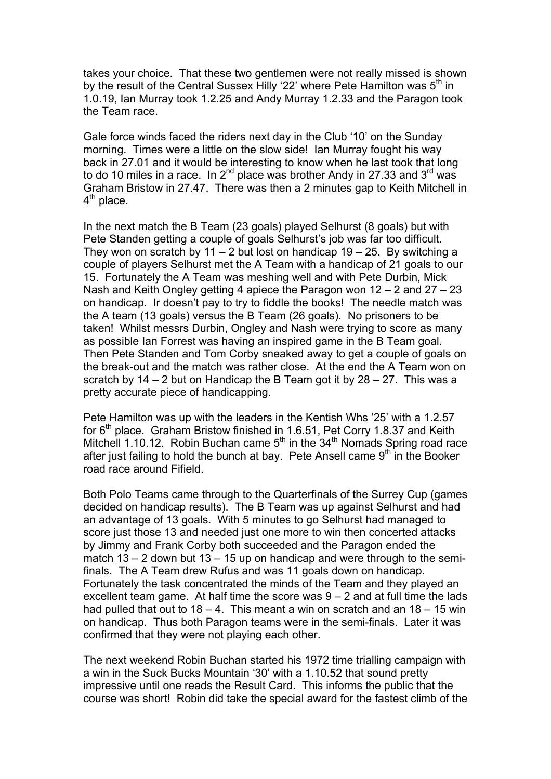takes your choice. That these two gentlemen were not really missed is shown by the result of the Central Sussex Hilly '22' where Pete Hamilton was  $5<sup>th</sup>$  in 1.0.19, Ian Murray took 1.2.25 and Andy Murray 1.2.33 and the Paragon took the Team race.

Gale force winds faced the riders next day in the Club '10' on the Sunday morning. Times were a little on the slow side! Ian Murray fought his way back in 27.01 and it would be interesting to know when he last took that long to do 10 miles in a race. In  $2^{nd}$  place was brother Andy in 27.33 and  $3^{rd}$  was Graham Bristow in 27.47. There was then a 2 minutes gap to Keith Mitchell in  $4<sup>th</sup>$  place.

In the next match the B Team (23 goals) played Selhurst (8 goals) but with Pete Standen getting a couple of goals Selhurst's job was far too difficult. They won on scratch by 11 – 2 but lost on handicap  $19 - 25$ . By switching a couple of players Selhurst met the A Team with a handicap of 21 goals to our 15. Fortunately the A Team was meshing well and with Pete Durbin, Mick Nash and Keith Ongley getting 4 apiece the Paragon won 12 – 2 and 27 – 23 on handicap. Ir doesn't pay to try to fiddle the books! The needle match was the A team (13 goals) versus the B Team (26 goals). No prisoners to be taken! Whilst messrs Durbin, Ongley and Nash were trying to score as many as possible Ian Forrest was having an inspired game in the B Team goal. Then Pete Standen and Tom Corby sneaked away to get a couple of goals on the break-out and the match was rather close. At the end the A Team won on scratch by  $14 - 2$  but on Handicap the B Team got it by  $28 - 27$ . This was a pretty accurate piece of handicapping.

Pete Hamilton was up with the leaders in the Kentish Whs '25' with a 1.2.57 for  $6<sup>th</sup>$  place. Graham Bristow finished in 1.6.51, Pet Corry 1.8.37 and Keith Mitchell 1.10.12. Robin Buchan came  $5<sup>th</sup>$  in the  $34<sup>th</sup>$  Nomads Spring road race after just failing to hold the bunch at bay. Pete Ansell came  $9<sup>th</sup>$  in the Booker road race around Fifield.

Both Polo Teams came through to the Quarterfinals of the Surrey Cup (games decided on handicap results). The B Team was up against Selhurst and had an advantage of 13 goals. With 5 minutes to go Selhurst had managed to score just those 13 and needed just one more to win then concerted attacks by Jimmy and Frank Corby both succeeded and the Paragon ended the match  $13 - 2$  down but  $13 - 15$  up on handicap and were through to the semifinals. The A Team drew Rufus and was 11 goals down on handicap. Fortunately the task concentrated the minds of the Team and they played an excellent team game. At half time the score was 9 – 2 and at full time the lads had pulled that out to  $18 - 4$ . This meant a win on scratch and an  $18 - 15$  win on handicap. Thus both Paragon teams were in the semi-finals. Later it was confirmed that they were not playing each other.

The next weekend Robin Buchan started his 1972 time trialling campaign with a win in the Suck Bucks Mountain '30' with a 1.10.52 that sound pretty impressive until one reads the Result Card. This informs the public that the course was short! Robin did take the special award for the fastest climb of the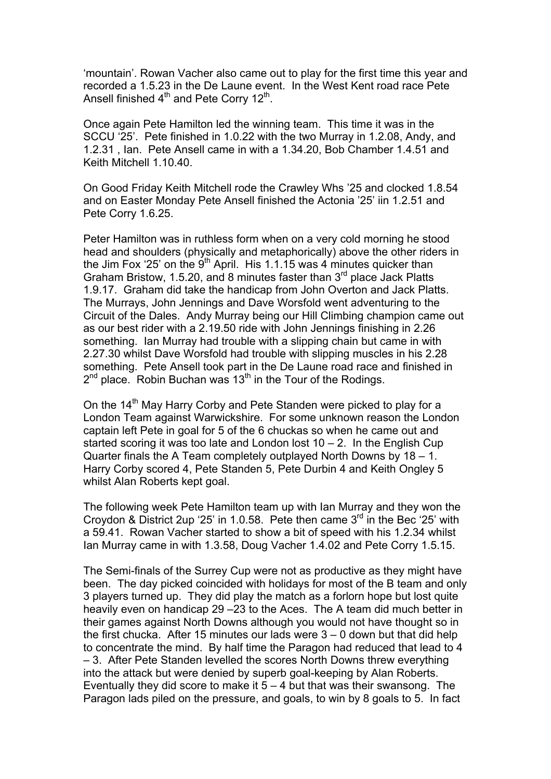'mountain'. Rowan Vacher also came out to play for the first time this year and recorded a 1.5.23 in the De Laune event. In the West Kent road race Pete Ansell finished  $4<sup>th</sup>$  and Pete Corry 12<sup>th</sup>.

Once again Pete Hamilton led the winning team. This time it was in the SCCU '25'. Pete finished in 1.0.22 with the two Murray in 1.2.08, Andy, and 1.2.31 , Ian. Pete Ansell came in with a 1.34.20, Bob Chamber 1.4.51 and Keith Mitchell 1.10.40.

On Good Friday Keith Mitchell rode the Crawley Whs '25 and clocked 1.8.54 and on Easter Monday Pete Ansell finished the Actonia '25' iin 1.2.51 and Pete Corry 1.6.25.

Peter Hamilton was in ruthless form when on a very cold morning he stood head and shoulders (physically and metaphorically) above the other riders in the Jim Fox '25' on the  $9<sup>th</sup>$  April. His 1.1.15 was 4 minutes quicker than Graham Bristow, 1.5.20, and 8 minutes faster than 3<sup>rd</sup> place Jack Platts 1.9.17. Graham did take the handicap from John Overton and Jack Platts. The Murrays, John Jennings and Dave Worsfold went adventuring to the Circuit of the Dales. Andy Murray being our Hill Climbing champion came out as our best rider with a 2.19.50 ride with John Jennings finishing in 2.26 something. Ian Murray had trouble with a slipping chain but came in with 2.27.30 whilst Dave Worsfold had trouble with slipping muscles in his 2.28 something. Pete Ansell took part in the De Laune road race and finished in  $2<sup>nd</sup>$  place. Robin Buchan was 13<sup>th</sup> in the Tour of the Rodings.

On the 14<sup>th</sup> May Harry Corby and Pete Standen were picked to play for a London Team against Warwickshire. For some unknown reason the London captain left Pete in goal for 5 of the 6 chuckas so when he came out and started scoring it was too late and London lost 10 – 2. In the English Cup Quarter finals the A Team completely outplayed North Downs by 18 – 1. Harry Corby scored 4, Pete Standen 5, Pete Durbin 4 and Keith Ongley 5 whilst Alan Roberts kept goal.

The following week Pete Hamilton team up with Ian Murray and they won the Croydon & District 2up '25' in 1.0.58. Pete then came  $3<sup>rd</sup>$  in the Bec '25' with a 59.41. Rowan Vacher started to show a bit of speed with his 1.2.34 whilst Ian Murray came in with 1.3.58, Doug Vacher 1.4.02 and Pete Corry 1.5.15.

The Semi-finals of the Surrey Cup were not as productive as they might have been. The day picked coincided with holidays for most of the B team and only 3 players turned up. They did play the match as a forlorn hope but lost quite heavily even on handicap 29 –23 to the Aces. The A team did much better in their games against North Downs although you would not have thought so in the first chucka. After 15 minutes our lads were  $3 - 0$  down but that did help to concentrate the mind. By half time the Paragon had reduced that lead to 4 – 3. After Pete Standen levelled the scores North Downs threw everything into the attack but were denied by superb goal-keeping by Alan Roberts. Eventually they did score to make it  $5 - 4$  but that was their swansong. The Paragon lads piled on the pressure, and goals, to win by 8 goals to 5. In fact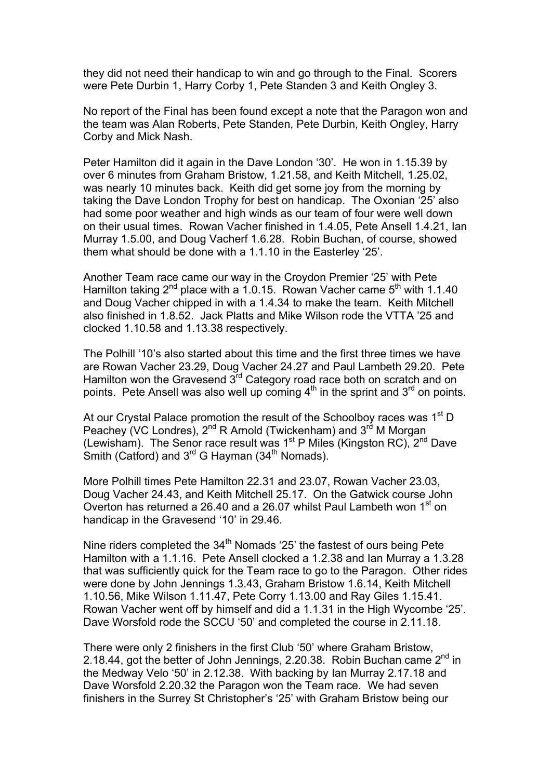they did not need their handicap to win and go through to the Final. Scorers were Pete Durbin 1, Harry Corby 1, Pete Standen 3 and Keith Ongley 3.

No report of the Final has been found except a note that the Paragon won and the team was Alan Roberts, Pete Standen, Pete Durbin, Keith Ongley, Harry Corby and Mick Nash.

Peter Hamilton did it again in the Dave London '30'. He won in 1.15.39 by over 6 minutes from Graham Bristow, 1.21.58, and Keith Mitchell, 1.25.02, was nearly 10 minutes back. Keith did get some joy from the morning by taking the Dave London Trophy for best on handicap. The Oxonian '25' also had some poor weather and high winds as our team of four were well down on their usual times. Rowan Vacher finished in 1.4.05, Pete Ansell 1.4.21, Ian Murray 1.5.00, and Doug Vacherf 1.6.28. Robin Buchan, of course, showed them what should be done with a 1.1.10 in the Easterley '25'.

Another Team race came our way in the Croydon Premier '25' with Pete Hamilton taking  $2^{nd}$  place with a 1.0.15. Rowan Vacher came  $5^{th}$  with 1.1.40 and Doug Vacher chipped in with a 1.4.34 to make the team. Keith Mitchell also finished in 1.8.52. Jack Platts and Mike Wilson rode the VTTA '25 and clocked 1.10.58 and 1.13.38 respectively.

The Polhill '10's also started about this time and the first three times we have are Rowan Vacher 23.29, Doug Vacher 24.27 and Paul Lambeth 29.20. Pete Hamilton won the Gravesend 3rd Category road race both on scratch and on points. Pete Ansell was also well up coming  $4<sup>th</sup>$  in the sprint and  $3<sup>rd</sup>$  on points.

At our Crystal Palace promotion the result of the Schoolboy races was 1<sup>st</sup> D Peachey (VC Londres), 2<sup>nd</sup> R Arnold (Twickenham) and 3<sup>rd</sup> M Morgan (Lewisham). The Senor race result was  $1<sup>st</sup>$  P Miles (Kingston RC),  $2<sup>nd</sup>$  Dave Smith (Catford) and  $3^{rd}$  G Hayman (34<sup>th</sup> Nomads).

More Polhill times Pete Hamilton 22.31 and 23.07, Rowan Vacher 23.03, Doug Vacher 24.43, and Keith Mitchell 25.17. On the Gatwick course John Overton has returned a 26.40 and a 26.07 whilst Paul Lambeth won 1<sup>st</sup> on handicap in the Gravesend '10' in 29.46.

Nine riders completed the 34<sup>th</sup> Nomads '25' the fastest of ours being Pete Hamilton with a 1.1.16. Pete Ansell clocked a 1.2.38 and Ian Murray a 1.3.28 that was sufficiently quick for the Team race to go to the Paragon. Other rides were done by John Jennings 1.3.43, Graham Bristow 1.6.14, Keith Mitchell 1.10.56, Mike Wilson 1.11.47, Pete Corry 1.13.00 and Ray Giles 1.15.41. Rowan Vacher went off by himself and did a 1.1.31 in the High Wycombe '25'. Dave Worsfold rode the SCCU '50' and completed the course in 2.11.18.

There were only 2 finishers in the first Club '50' where Graham Bristow, 2.18.44, got the better of John Jennings, 2.20.38. Robin Buchan came  $2^{nd}$  in the Medway Velo '50' in 2.12.38. With backing by Ian Murray 2.17.18 and Dave Worsfold 2.20.32 the Paragon won the Team race. We had seven finishers in the Surrey St Christopher's '25' with Graham Bristow being our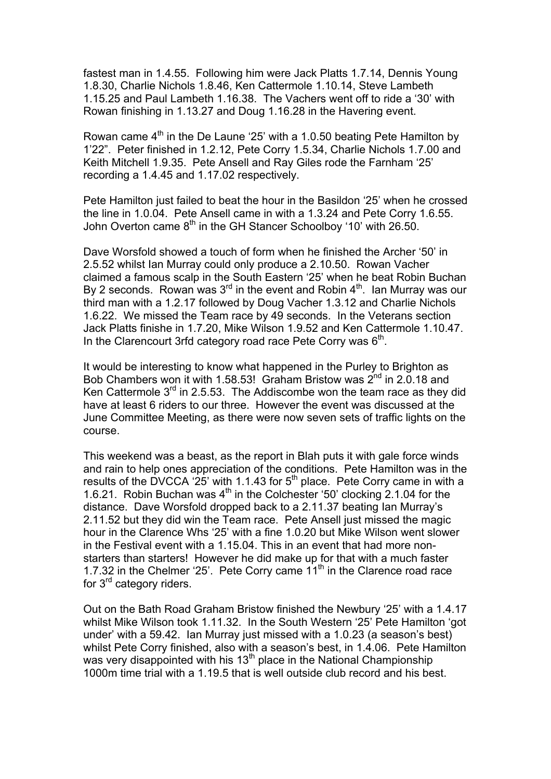fastest man in 1.4.55. Following him were Jack Platts 1.7.14, Dennis Young 1.8.30, Charlie Nichols 1.8.46, Ken Cattermole 1.10.14, Steve Lambeth 1.15.25 and Paul Lambeth 1.16.38. The Vachers went off to ride a '30' with Rowan finishing in 1.13.27 and Doug 1.16.28 in the Havering event.

Rowan came  $4<sup>th</sup>$  in the De Laune '25' with a 1.0.50 beating Pete Hamilton by 1'22". Peter finished in 1.2.12, Pete Corry 1.5.34, Charlie Nichols 1.7.00 and Keith Mitchell 1.9.35. Pete Ansell and Ray Giles rode the Farnham '25' recording a 1.4.45 and 1.17.02 respectively.

Pete Hamilton just failed to beat the hour in the Basildon '25' when he crossed the line in 1.0.04. Pete Ansell came in with a 1.3.24 and Pete Corry 1.6.55. John Overton came 8<sup>th</sup> in the GH Stancer Schoolboy '10' with 26.50.

Dave Worsfold showed a touch of form when he finished the Archer '50' in 2.5.52 whilst Ian Murray could only produce a 2.10.50. Rowan Vacher claimed a famous scalp in the South Eastern '25' when he beat Robin Buchan By 2 seconds. Rowan was  $3<sup>rd</sup>$  in the event and Robin  $4<sup>th</sup>$ . Ian Murray was our third man with a 1.2.17 followed by Doug Vacher 1.3.12 and Charlie Nichols 1.6.22. We missed the Team race by 49 seconds. In the Veterans section Jack Platts finishe in 1.7.20, Mike Wilson 1.9.52 and Ken Cattermole 1.10.47. In the Clarencourt 3rfd category road race Pete Corry was  $6<sup>th</sup>$ .

It would be interesting to know what happened in the Purley to Brighton as Bob Chambers won it with 1.58.53! Graham Bristow was  $2^{nd}$  in 2.0.18 and Ken Cattermole  $3<sup>rd</sup>$  in 2.5.53. The Addiscombe won the team race as they did have at least 6 riders to our three. However the event was discussed at the June Committee Meeting, as there were now seven sets of traffic lights on the course.

This weekend was a beast, as the report in Blah puts it with gale force winds and rain to help ones appreciation of the conditions. Pete Hamilton was in the results of the DVCCA '25' with 1.1.43 for  $5<sup>th</sup>$  place. Pete Corry came in with a 1.6.21. Robin Buchan was  $4<sup>th</sup>$  in the Colchester '50' clocking 2.1.04 for the distance. Dave Worsfold dropped back to a 2.11.37 beating Ian Murray's 2.11.52 but they did win the Team race. Pete Ansell just missed the magic hour in the Clarence Whs '25' with a fine 1.0.20 but Mike Wilson went slower in the Festival event with a 1.15.04. This in an event that had more nonstarters than starters! However he did make up for that with a much faster 1.7.32 in the Chelmer '25'. Pete Corry came  $11<sup>th</sup>$  in the Clarence road race for 3<sup>rd</sup> category riders.

Out on the Bath Road Graham Bristow finished the Newbury '25' with a 1.4.17 whilst Mike Wilson took 1.11.32. In the South Western '25' Pete Hamilton 'got under' with a 59.42. Ian Murray just missed with a 1.0.23 (a season's best) whilst Pete Corry finished, also with a season's best, in 1.4.06. Pete Hamilton was very disappointed with his  $13<sup>th</sup>$  place in the National Championship 1000m time trial with a 1.19.5 that is well outside club record and his best.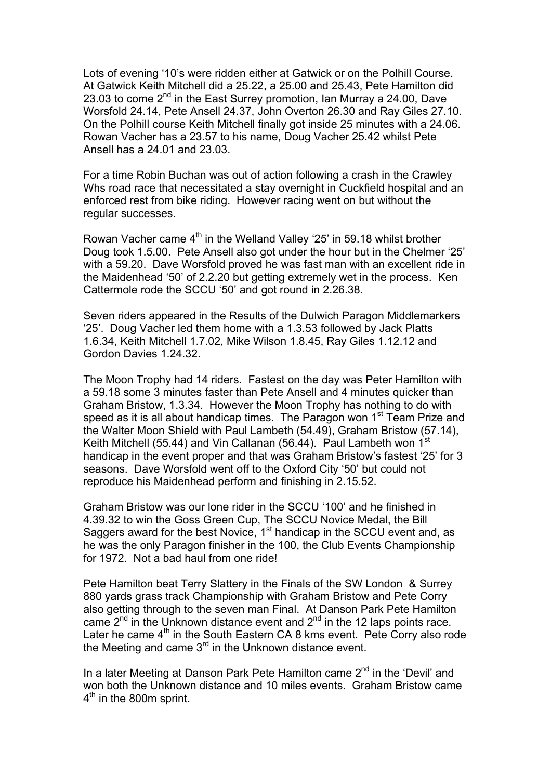Lots of evening '10's were ridden either at Gatwick or on the Polhill Course. At Gatwick Keith Mitchell did a 25.22, a 25.00 and 25.43, Pete Hamilton did 23.03 to come  $2^{nd}$  in the East Surrey promotion, Ian Murray a 24.00, Dave Worsfold 24.14, Pete Ansell 24.37, John Overton 26.30 and Ray Giles 27.10. On the Polhill course Keith Mitchell finally got inside 25 minutes with a 24.06. Rowan Vacher has a 23.57 to his name, Doug Vacher 25.42 whilst Pete Ansell has a 24.01 and 23.03.

For a time Robin Buchan was out of action following a crash in the Crawley Whs road race that necessitated a stay overnight in Cuckfield hospital and an enforced rest from bike riding. However racing went on but without the regular successes.

Rowan Vacher came 4<sup>th</sup> in the Welland Valley '25' in 59.18 whilst brother Doug took 1.5.00. Pete Ansell also got under the hour but in the Chelmer '25' with a 59.20. Dave Worsfold proved he was fast man with an excellent ride in the Maidenhead '50' of 2.2.20 but getting extremely wet in the process. Ken Cattermole rode the SCCU '50' and got round in 2.26.38.

Seven riders appeared in the Results of the Dulwich Paragon Middlemarkers '25'. Doug Vacher led them home with a 1.3.53 followed by Jack Platts 1.6.34, Keith Mitchell 1.7.02, Mike Wilson 1.8.45, Ray Giles 1.12.12 and Gordon Davies 1.24.32.

The Moon Trophy had 14 riders. Fastest on the day was Peter Hamilton with a 59.18 some 3 minutes faster than Pete Ansell and 4 minutes quicker than Graham Bristow, 1.3.34. However the Moon Trophy has nothing to do with speed as it is all about handicap times. The Paragon won 1<sup>st</sup> Team Prize and the Walter Moon Shield with Paul Lambeth (54.49), Graham Bristow (57.14), Keith Mitchell (55.44) and Vin Callanan (56.44). Paul Lambeth won 1<sup>st</sup> handicap in the event proper and that was Graham Bristow's fastest '25' for 3 seasons. Dave Worsfold went off to the Oxford City '50' but could not reproduce his Maidenhead perform and finishing in 2.15.52.

Graham Bristow was our lone rider in the SCCU '100' and he finished in 4.39.32 to win the Goss Green Cup, The SCCU Novice Medal, the Bill Saggers award for the best Novice, 1<sup>st</sup> handicap in the SCCU event and, as he was the only Paragon finisher in the 100, the Club Events Championship for 1972. Not a bad haul from one ride!

Pete Hamilton beat Terry Slattery in the Finals of the SW London & Surrey 880 vards grass track Championship with Graham Bristow and Pete Corry also getting through to the seven man Final. At Danson Park Pete Hamilton came  $2^{nd}$  in the Unknown distance event and  $2^{nd}$  in the 12 laps points race. Later he came  $4<sup>th</sup>$  in the South Eastern CA 8 kms event. Pete Corry also rode the Meeting and came  $3<sup>rd</sup>$  in the Unknown distance event.

In a later Meeting at Danson Park Pete Hamilton came 2<sup>nd</sup> in the 'Devil' and won both the Unknown distance and 10 miles events. Graham Bristow came  $4<sup>th</sup>$  in the 800m sprint.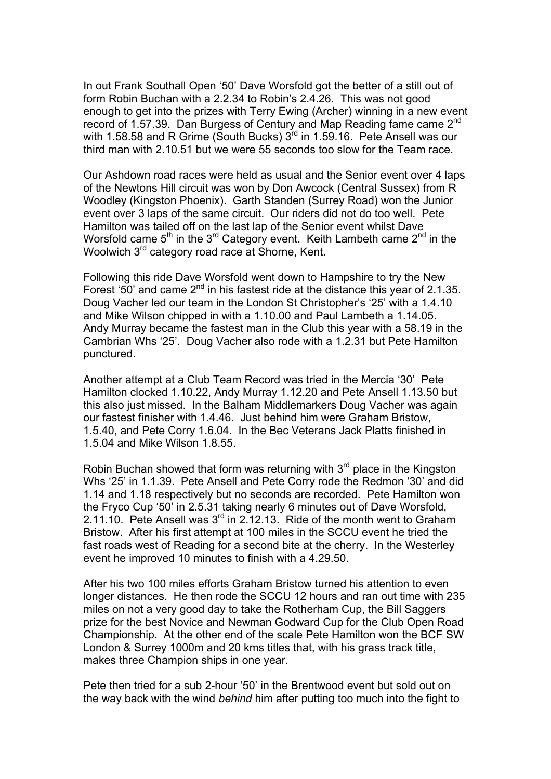In out Frank Southall Open '50' Dave Worsfold got the better of a still out of form Robin Buchan with a 2.2.34 to Robin's 2.4.26. This was not good enough to get into the prizes with Terry Ewing (Archer) winning in a new event record of 1.57.39. Dan Burgess of Century and Map Reading fame came 2<sup>nd</sup> with 1.58.58 and R Grime (South Bucks)  $3<sup>rd</sup>$  in 1.59.16. Pete Ansell was our third man with 2.10.51 but we were 55 seconds too slow for the Team race.

Our Ashdown road races were held as usual and the Senior event over 4 laps of the Newtons Hill circuit was won by Don Awcock (Central Sussex) from R Woodley (Kingston Phoenix). Garth Standen (Surrey Road) won the Junior event over 3 laps of the same circuit. Our riders did not do too well. Pete Hamilton was tailed off on the last lap of the Senior event whilst Dave Worsfold came  $5<sup>th</sup>$  in the 3<sup>rd</sup> Category event. Keith Lambeth came  $2<sup>nd</sup>$  in the Woolwich 3<sup>rd</sup> category road race at Shorne, Kent.

Following this ride Dave Worsfold went down to Hampshire to try the New Forest '50' and came  $2^{nd}$  in his fastest ride at the distance this year of 2.1.35. Doug Vacher led our team in the London St Christopher's '25' with a 1.4.10 and Mike Wilson chipped in with a 1.10.00 and Paul Lambeth a 1.14.05. Andy Murray became the fastest man in the Club this year with a 58.19 in the Cambrian Whs '25'. Doug Vacher also rode with a 1.2.31 but Pete Hamilton punctured.

Another attempt at a Club Team Record was tried in the Mercia '30' Pete Hamilton clocked 1.10.22, Andy Murray 1.12.20 and Pete Ansell 1.13.50 but this also just missed. In the Balham Middlemarkers Doug Vacher was again our fastest finisher with 1.4.46. Just behind him were Graham Bristow, 1.5.40, and Pete Corry 1.6.04. In the Bec Veterans Jack Platts finished in 1.5.04 and Mike Wilson 1.8.55.

Robin Buchan showed that form was returning with  $3<sup>rd</sup>$  place in the Kingston Whs '25' in 1.1.39. Pete Ansell and Pete Corry rode the Redmon '30' and did 1.14 and 1.18 respectively but no seconds are recorded. Pete Hamilton won the Fryco Cup '50' in 2.5.31 taking nearly 6 minutes out of Dave Worsfold, 2.11.10. Pete Ansell was  $3<sup>rd</sup>$  in 2.12.13. Ride of the month went to Graham Bristow. After his first attempt at 100 miles in the SCCU event he tried the fast roads west of Reading for a second bite at the cherry. In the Westerley event he improved 10 minutes to finish with a 4.29.50.

After his two 100 miles efforts Graham Bristow turned his attention to even longer distances. He then rode the SCCU 12 hours and ran out time with 235 miles on not a very good day to take the Rotherham Cup, the Bill Saggers prize for the best Novice and Newman Godward Cup for the Club Open Road Championship. At the other end of the scale Pete Hamilton won the BCF SW London & Surrey 1000m and 20 kms titles that, with his grass track title, makes three Champion ships in one year.

Pete then tried for a sub 2-hour '50' in the Brentwood event but sold out on the way back with the wind *behind* him after putting too much into the fight to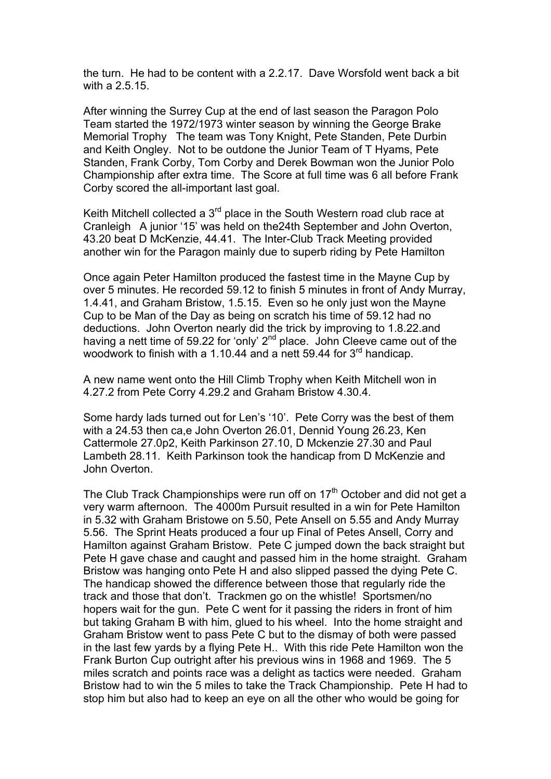the turn. He had to be content with a 2.2.17. Dave Worsfold went back a bit with a 2.5.15.

After winning the Surrey Cup at the end of last season the Paragon Polo Team started the 1972/1973 winter season by winning the George Brake Memorial Trophy The team was Tony Knight, Pete Standen, Pete Durbin and Keith Ongley. Not to be outdone the Junior Team of T Hyams, Pete Standen, Frank Corby, Tom Corby and Derek Bowman won the Junior Polo Championship after extra time. The Score at full time was 6 all before Frank Corby scored the all-important last goal.

Keith Mitchell collected a 3<sup>rd</sup> place in the South Western road club race at Cranleigh A junior '15' was held on the24th September and John Overton, 43.20 beat D McKenzie, 44.41. The Inter-Club Track Meeting provided another win for the Paragon mainly due to superb riding by Pete Hamilton

Once again Peter Hamilton produced the fastest time in the Mayne Cup by over 5 minutes. He recorded 59.12 to finish 5 minutes in front of Andy Murray, 1.4.41, and Graham Bristow, 1.5.15. Even so he only just won the Mayne Cup to be Man of the Day as being on scratch his time of 59.12 had no deductions. John Overton nearly did the trick by improving to 1.8.22.and having a nett time of 59.22 for 'only'  $2<sup>nd</sup>$  place. John Cleeve came out of the woodwork to finish with a 1.10.44 and a nett 59.44 for  $3^{\text{rd}}$  handicap.

A new name went onto the Hill Climb Trophy when Keith Mitchell won in 4.27.2 from Pete Corry 4.29.2 and Graham Bristow 4.30.4.

Some hardy lads turned out for Len's '10'. Pete Corry was the best of them with a 24.53 then ca,e John Overton 26.01, Dennid Young 26.23, Ken Cattermole 27.0p2, Keith Parkinson 27.10, D Mckenzie 27.30 and Paul Lambeth 28.11. Keith Parkinson took the handicap from D McKenzie and John Overton.

The Club Track Championships were run off on  $17<sup>th</sup>$  October and did not get a very warm afternoon. The 4000m Pursuit resulted in a win for Pete Hamilton in 5.32 with Graham Bristowe on 5.50, Pete Ansell on 5.55 and Andy Murray 5.56. The Sprint Heats produced a four up Final of Petes Ansell, Corry and Hamilton against Graham Bristow. Pete C jumped down the back straight but Pete H gave chase and caught and passed him in the home straight. Graham Bristow was hanging onto Pete H and also slipped passed the dying Pete C. The handicap showed the difference between those that regularly ride the track and those that don't. Trackmen go on the whistle! Sportsmen/no hopers wait for the gun. Pete C went for it passing the riders in front of him but taking Graham B with him, glued to his wheel. Into the home straight and Graham Bristow went to pass Pete C but to the dismay of both were passed in the last few yards by a flying Pete H.. With this ride Pete Hamilton won the Frank Burton Cup outright after his previous wins in 1968 and 1969. The 5 miles scratch and points race was a delight as tactics were needed. Graham Bristow had to win the 5 miles to take the Track Championship. Pete H had to stop him but also had to keep an eye on all the other who would be going for